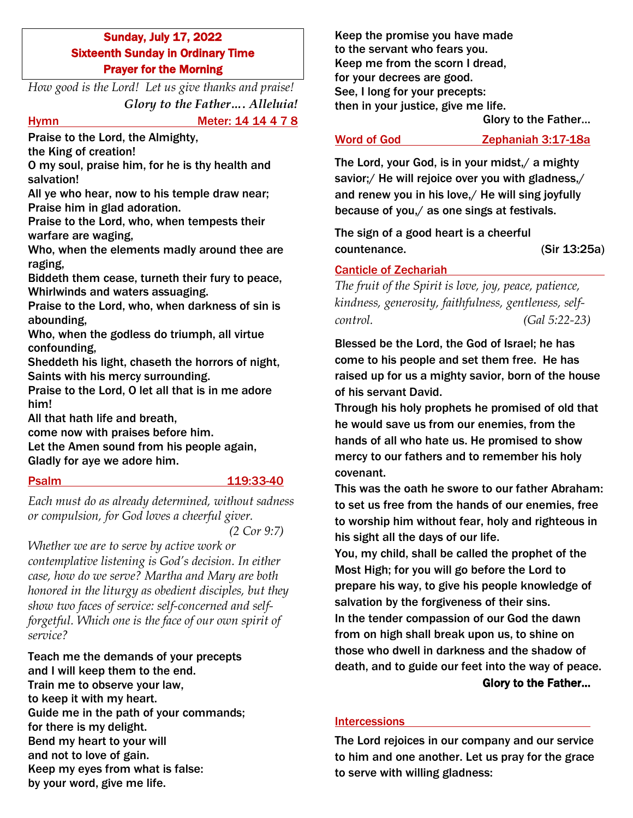## Sunday, July 17, 2022 Sixteenth Sunday in Ordinary Time Prayer for the Morning

*How good is the Lord! Let us give thanks and praise! Glory to the Father…. Alleluia!*

# Hymn Meter: 14 14 4 7 8

Praise to the Lord, the Almighty,

the King of creation!

O my soul, praise him, for he is thy health and salvation!

All ye who hear, now to his temple draw near; Praise him in glad adoration.

Praise to the Lord, who, when tempests their warfare are waging,

Who, when the elements madly around thee are raging,

Biddeth them cease, turneth their fury to peace, Whirlwinds and waters assuaging.

Praise to the Lord, who, when darkness of sin is abounding,

Who, when the godless do triumph, all virtue confounding,

Sheddeth his light, chaseth the horrors of night, Saints with his mercy surrounding.

Praise to the Lord, O let all that is in me adore him!

All that hath life and breath,

come now with praises before him. Let the Amen sound from his people again, Gladly for aye we adore him.

## Psalm 119:33-40

*Each must do as already determined, without sadness or compulsion, for God loves a cheerful giver.* 

*(2 Cor 9:7)*

*Whether we are to serve by active work or contemplative listening is God's decision. In either case, how do we serve? Martha and Mary are both honored in the liturgy as obedient disciples, but they show two faces of service: self-concerned and selfforgetful. Which one is the face of our own spirit of service?*

Teach me the demands of your precepts and I will keep them to the end. Train me to observe your law, to keep it with my heart. Guide me in the path of your commands; for there is my delight. Bend my heart to your will and not to love of gain. Keep my eyes from what is false: by your word, give me life.

Keep the promise you have made to the servant who fears you. Keep me from the scorn I dread, for your decrees are good. See, I long for your precepts: then in your justice, give me life.

Glory to the Father…

Word of God Zephaniah 3:17-18a

The Lord, your God, is in your midst,/ a mighty savior;/ He will rejoice over you with gladness,/ and renew you in his love,/ He will sing joyfully because of you,/ as one sings at festivals.

The sign of a good heart is a cheerful countenance. (Sir 13:25a)

## Canticle of Zechariah

*The fruit of the Spirit is love, joy, peace, patience, kindness, generosity, faithfulness, gentleness, selfcontrol. (Gal 5:22-23)*

Blessed be the Lord, the God of Israel; he has come to his people and set them free. He has raised up for us a mighty savior, born of the house of his servant David.

Through his holy prophets he promised of old that he would save us from our enemies, from the hands of all who hate us. He promised to show mercy to our fathers and to remember his holy covenant.

This was the oath he swore to our father Abraham: to set us free from the hands of our enemies, free to worship him without fear, holy and righteous in his sight all the days of our life.

You, my child, shall be called the prophet of the Most High; for you will go before the Lord to prepare his way, to give his people knowledge of salvation by the forgiveness of their sins. In the tender compassion of our God the dawn from on high shall break upon us, to shine on those who dwell in darkness and the shadow of death, and to guide our feet into the way of peace. Glory to the Father…

## Intercessions

The Lord rejoices in our company and our service to him and one another. Let us pray for the grace to serve with willing gladness: